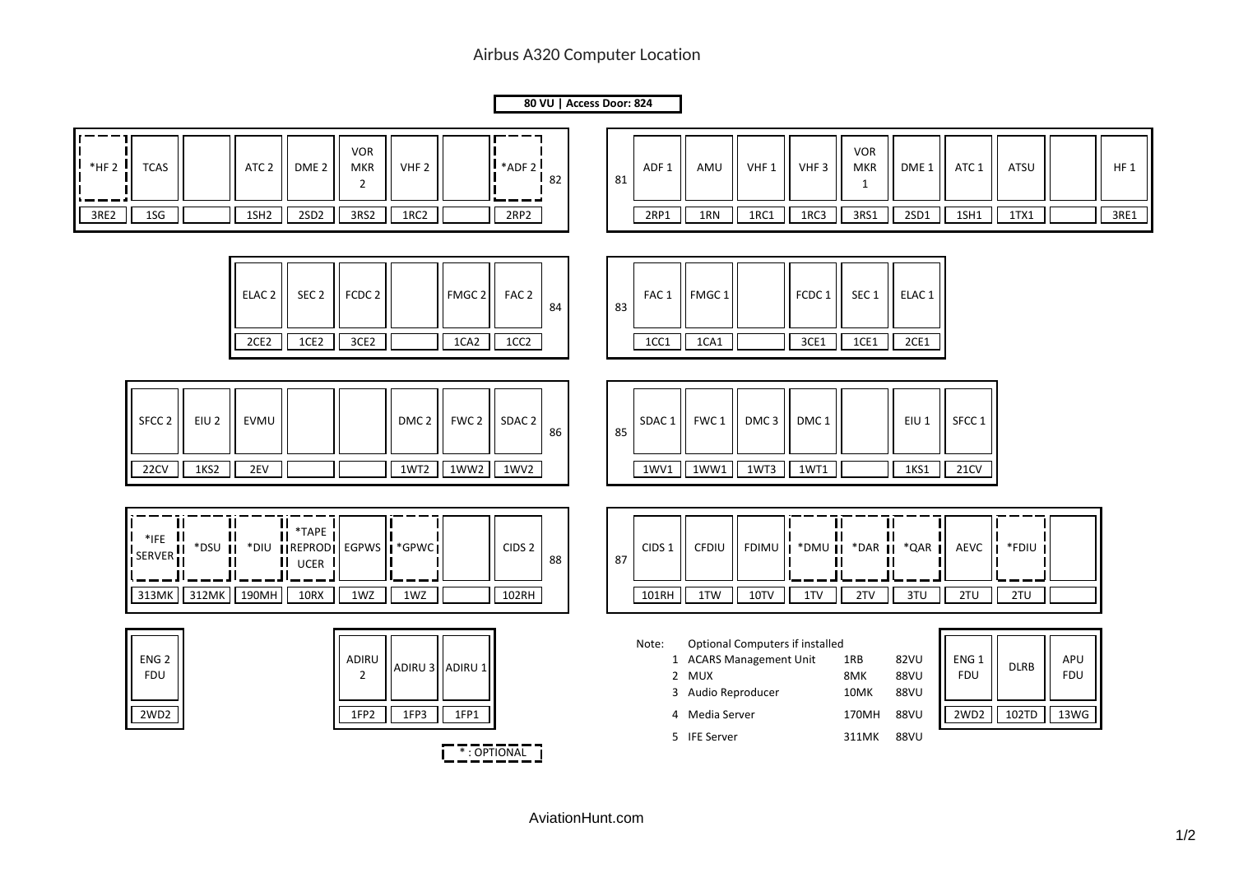## Airbus A320 Computer Location

## **80 VU | Access Door: 824**

| $*$ HF 2 | <b>TCAS</b>                                          |                             | ATC <sub>2</sub>                      | DME <sub>2</sub>                                                 | <b>VOR</b><br><b>MKR</b><br>$\overline{2}$ | VHF <sub>2</sub>         | $^{\bullet}$ *ADF 2                        | 82 | 81 | ADF <sub>1</sub>           | AMU                                                           | VHF 1                                                             | VHF <sub>3</sub>                | <b>VOR</b><br><b>MKR</b><br>$\mathbf{1}$ | DME 1                                          | ATC 1                                  | ATSU                 |                           | $HF_1$ |
|----------|------------------------------------------------------|-----------------------------|---------------------------------------|------------------------------------------------------------------|--------------------------------------------|--------------------------|--------------------------------------------|----|----|----------------------------|---------------------------------------------------------------|-------------------------------------------------------------------|---------------------------------|------------------------------------------|------------------------------------------------|----------------------------------------|----------------------|---------------------------|--------|
| 3RE2     | 1SG                                                  |                             | 1SH <sub>2</sub>                      | 2SD <sub>2</sub>                                                 | 3RS2                                       | 1RC2                     | 2RP2                                       |    |    | 2RP1                       | 1RN                                                           | 1RC1                                                              | 1RC3                            | 3RS1                                     | 2SD1                                           | $1$ SH $1$                             | 1TX1                 |                           | 3RE1   |
|          |                                                      |                             | ELAC <sub>2</sub><br>2CE <sub>2</sub> | SEC <sub>2</sub><br>1CE2                                         | FCDC <sub>2</sub><br>3CE2                  |                          | FMGC 2<br>FAC <sub>2</sub><br>1CA2<br>1CC2 | 84 | 83 | FAC <sub>1</sub><br>1CC1   | FMGC 1<br>1CA1                                                |                                                                   | FCDC 1<br>3CE1                  | SEC <sub>1</sub><br>1CE1                 | ELAC <sub>1</sub><br>2CE1                      |                                        |                      |                           |        |
|          | SFCC <sub>2</sub><br>22CV                            | EIU <sub>2</sub><br>1KS2    | EVMU<br>2EV                           |                                                                  |                                            | DMC <sub>2</sub><br>1WT2 | FWC 2   SDAC 2<br>1WW2<br>1WV <sub>2</sub> | 86 | 85 | SDAC <sub>1</sub><br>1WV1  | FWC 1<br>1WW1                                                 | DMC <sub>3</sub><br>1WT3                                          | DMC <sub>1</sub><br>1WT1        |                                          | EIU 1<br>1KS1                                  | SFCC <sub>1</sub><br>21CV              |                      |                           |        |
|          | $*$ <sub>IFE</sub> $\prod$<br><b>SERVER</b><br>313MK | Ш<br>*DSU II<br>312MK 190MH | Ш<br>Ш                                | $\prod_{i=1}^{n}$ *TAPE<br>*DIU   REPROD <br><b>UCER</b><br>10RX | 1WZ                                        | EGPWS   *GPWC<br>1WZ     | CIDS <sub>2</sub><br>102RH                 | 88 | 87 | CIDS <sub>1</sub><br>101RH | CFDIU<br>1TW                                                  | 10TV                                                              | FDIMU    *DMU    *DAR   <br>1TV | Τſ<br>Ш<br>2TV                           | $\mathbf{II}$<br>$\mathbf{H}$<br>*QAR I<br>3TU | AEVC<br>2TU                            | I *FDIU<br>2TU       |                           |        |
|          | ENG <sub>2</sub><br><b>FDU</b><br>2WD2               |                             |                                       |                                                                  | ADIRU<br>$\overline{2}$<br>1FP2            | ADIRU 3 ADIRU 1<br>1FP3  | 1FP1                                       |    |    | Note:                      | 2 MUX<br>3 Audio Reproducer<br>4 Media Server<br>5 IFE Server | <b>Optional Computers if installed</b><br>1 ACARS Management Unit |                                 | 1RB<br>8MK<br>10MK<br>170MH<br>311MK     | 82VU<br>88VU<br>88VU<br><b>88VU</b><br>88VU    | ENG <sub>1</sub><br><b>FDU</b><br>2WD2 | <b>DLRB</b><br>102TD | APU<br><b>FDU</b><br>13WG |        |

**TEXAS TRACK THE TEXAS TRACK**